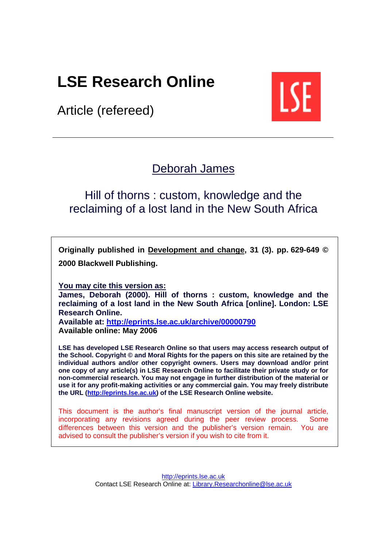# **LSE Research Online**

Article (refereed)



# [Deborah James](http://www.lse.ac.uk/people/d.a.james@lse.ac.uk/experts.htm)

# Hill of thorns : custom, knowledge and the reclaiming of a lost land in the New South Africa

**Originally published in [Development and change,](http://www.blackwellpublishing.com/journals/DECH) 31 (3). pp. 629-649 © 2000 Blackwell Publishing.** 

**You may cite this version as: James, Deborah (2000). Hill of thorns : custom, knowledge and the reclaiming of a lost land in the New South Africa [online]. London: LSE Research Online. Available at: <http://eprints.lse.ac.uk/archive/00000790> Available online: May 2006**

**LSE has developed LSE Research Online so that users may access research output of the School. Copyright © and Moral Rights for the papers on this site are retained by the individual authors and/or other copyright owners. Users may download and/or print one copy of any article(s) in LSE Research Online to facilitate their private study or for non-commercial research. You may not engage in further distribution of the material or use it for any profit-making activities or any commercial gain. You may freely distribute the URL [\(http://eprints.lse.ac.uk\)](http://eprints.lse.ac.uk/) of the LSE Research Online website.** 

This document is the author's final manuscript version of the journal article, incorporating any revisions agreed during the peer review process. Some differences between this version and the publisher's version remain. You are advised to consult the publisher's version if you wish to cite from it.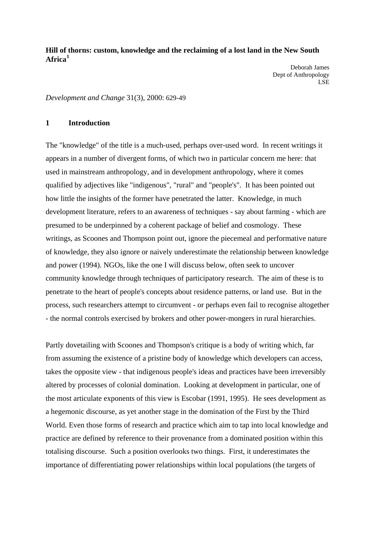**Hill of thorns: custom, knowledge and the reclaiming of a lost land in the New South Africa[1](#page-25-0)**

> Deborah James Dept of Anthropology LSE

*Development and Change* 31(3), 2000: 629-49

#### **1 Introduction**

The "knowledge" of the title is a much-used, perhaps over-used word. In recent writings it appears in a number of divergent forms, of which two in particular concern me here: that used in mainstream anthropology, and in development anthropology, where it comes qualified by adjectives like "indigenous", "rural" and "people's". It has been pointed out how little the insights of the former have penetrated the latter. Knowledge, in much development literature, refers to an awareness of techniques - say about farming - which are presumed to be underpinned by a coherent package of belief and cosmology. These writings, as Scoones and Thompson point out, ignore the piecemeal and performative nature of knowledge, they also ignore or naively underestimate the relationship between knowledge and power (1994). NGOs, like the one I will discuss below, often seek to uncover community knowledge through techniques of participatory research. The aim of these is to penetrate to the heart of people's concepts about residence patterns, or land use. But in the process, such researchers attempt to circumvent - or perhaps even fail to recognise altogether - the normal controls exercised by brokers and other power-mongers in rural hierarchies.

Partly dovetailing with Scoones and Thompson's critique is a body of writing which, far from assuming the existence of a pristine body of knowledge which developers can access, takes the opposite view - that indigenous people's ideas and practices have been irreversibly altered by processes of colonial domination. Looking at development in particular, one of the most articulate exponents of this view is Escobar (1991, 1995). He sees development as a hegemonic discourse, as yet another stage in the domination of the First by the Third World. Even those forms of research and practice which aim to tap into local knowledge and practice are defined by reference to their provenance from a dominated position within this totalising discourse. Such a position overlooks two things. First, it underestimates the importance of differentiating power relationships within local populations (the targets of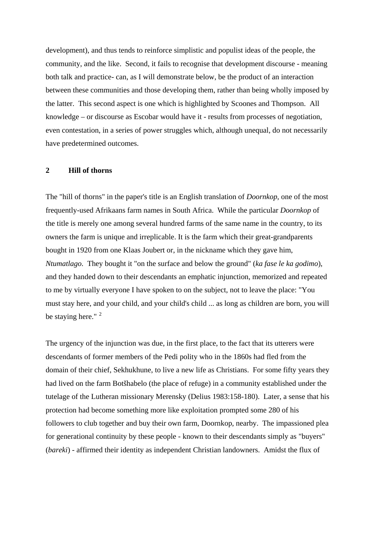development), and thus tends to reinforce simplistic and populist ideas of the people, the community, and the like. Second, it fails to recognise that development discourse - meaning both talk and practice- can, as I will demonstrate below, be the product of an interaction between these communities and those developing them, rather than being wholly imposed by the latter. This second aspect is one which is highlighted by Scoones and Thompson. All knowledge – or discourse as Escobar would have it - results from processes of negotiation, even contestation, in a series of power struggles which, although unequal, do not necessarily have predetermined outcomes.

#### **2 Hill of thorns**

The "hill of thorns" in the paper's title is an English translation of *Doornkop*, one of the most frequently-used Afrikaans farm names in South Africa. While the particular *Doornkop* of the title is merely one among several hundred farms of the same name in the country, to its owners the farm is unique and irreplicable. It is the farm which their great-grandparents bought in 1920 from one Klaas Joubert or, in the nickname which they gave him, *Ntumatlago*. They bought it "on the surface and below the ground" (*ka fase le ka godimo*), and they handed down to their descendants an emphatic injunction, memorized and repeated to me by virtually everyone I have spoken to on the subject, not to leave the place: "You must stay here, and your child, and your child's child ... as long as children are born, you will be staying here."  $2$ 

The urgency of the injunction was due, in the first place, to the fact that its utterers were descendants of former members of the Pedi polity who in the 1860s had fled from the domain of their chief, Sekhukhune, to live a new life as Christians. For some fifty years they had lived on the farm Botšhabelo (the place of refuge) in a community established under the tutelage of the Lutheran missionary Merensky (Delius 1983:158-180). Later, a sense that his protection had become something more like exploitation prompted some 280 of his followers to club together and buy their own farm, Doornkop, nearby. The impassioned plea for generational continuity by these people - known to their descendants simply as "buyers" (*bareki*) - affirmed their identity as independent Christian landowners. Amidst the flux of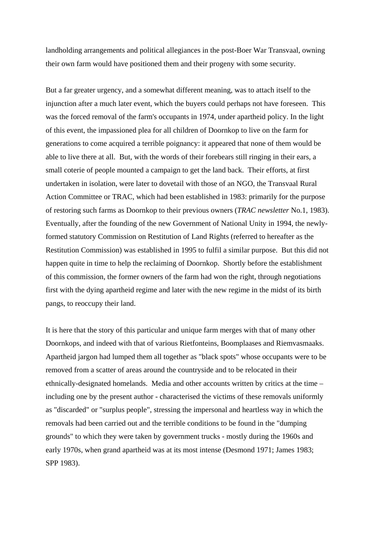landholding arrangements and political allegiances in the post-Boer War Transvaal, owning their own farm would have positioned them and their progeny with some security.

But a far greater urgency, and a somewhat different meaning, was to attach itself to the injunction after a much later event, which the buyers could perhaps not have foreseen. This was the forced removal of the farm's occupants in 1974, under apartheid policy. In the light of this event, the impassioned plea for all children of Doornkop to live on the farm for generations to come acquired a terrible poignancy: it appeared that none of them would be able to live there at all. But, with the words of their forebears still ringing in their ears, a small coterie of people mounted a campaign to get the land back. Their efforts, at first undertaken in isolation, were later to dovetail with those of an NGO, the Transvaal Rural Action Committee or TRAC, which had been established in 1983: primarily for the purpose of restoring such farms as Doornkop to their previous owners (*TRAC newsletter* No.1, 1983). Eventually, after the founding of the new Government of National Unity in 1994, the newlyformed statutory Commission on Restitution of Land Rights (referred to hereafter as the Restitution Commission) was established in 1995 to fulfil a similar purpose. But this did not happen quite in time to help the reclaiming of Doornkop. Shortly before the establishment of this commission, the former owners of the farm had won the right, through negotiations first with the dying apartheid regime and later with the new regime in the midst of its birth pangs, to reoccupy their land.

It is here that the story of this particular and unique farm merges with that of many other Doornkops, and indeed with that of various Rietfonteins, Boomplaases and Riemvasmaaks. Apartheid jargon had lumped them all together as "black spots" whose occupants were to be removed from a scatter of areas around the countryside and to be relocated in their ethnically-designated homelands. Media and other accounts written by critics at the time – including one by the present author - characterised the victims of these removals uniformly as "discarded" or "surplus people", stressing the impersonal and heartless way in which the removals had been carried out and the terrible conditions to be found in the "dumping grounds" to which they were taken by government trucks - mostly during the 1960s and early 1970s, when grand apartheid was at its most intense (Desmond 1971; James 1983; SPP 1983).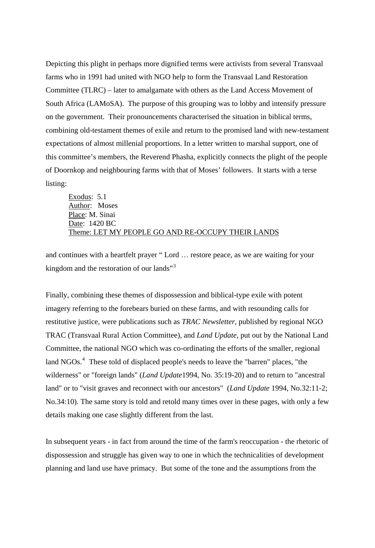Depicting this plight in perhaps more dignified terms were activists from several Transvaal farms who in 1991 had united with NGO help to form the Transvaal Land Restoration Committee (TLRC) – later to amalgamate with others as the Land Access Movement of South Africa (LAMoSA). The purpose of this grouping was to lobby and intensify pressure on the government. Their pronouncements characterised the situation in biblical terms, combining old-testament themes of exile and return to the promised land with new-testament expectations of almost millenial proportions. In a letter written to marshal support, one of this committee's members, the Reverend Phasha, explicitly connects the plight of the people of Doornkop and neighbouring farms with that of Moses' followers. It starts with a terse listing:

Exodus: 5.1 Author: Moses Place: M. Sinai Date: 1420 BC Theme: LET MY PEOPLE GO AND RE-OCCUPY THEIR LANDS

and continues with a heartfelt prayer " Lord … restore peace, as we are waiting for your kingdom and the restoration of our lands"<sup>[3](#page-25-1)</sup>

Finally, combining these themes of dispossession and biblical-type exile with potent imagery referring to the forebears buried on these farms, and with resounding calls for restitutive justice, were publications such as *TRAC Newsletter*, published by regional NGO TRAC (Transvaal Rural Action Committee), and *Land Update,* put out by the National Land Committee, the national NGO which was co-ordinating the efforts of the smaller, regional land NGOs.<sup>[4](#page-25-1)</sup> These told of displaced people's needs to leave the "barren" places, "the wilderness" or "foreign lands" (*Land Update*1994, No. 35:19-20) and to return to "ancestral land" or to "visit graves and reconnect with our ancestors" (*Land Update* 1994, No.32:11-2; No.34:10). The same story is told and retold many times over in these pages, with only a few details making one case slightly different from the last.

In subsequent years - in fact from around the time of the farm's reoccupation - the rhetoric of dispossession and struggle has given way to one in which the technicalities of development planning and land use have primacy. But some of the tone and the assumptions from the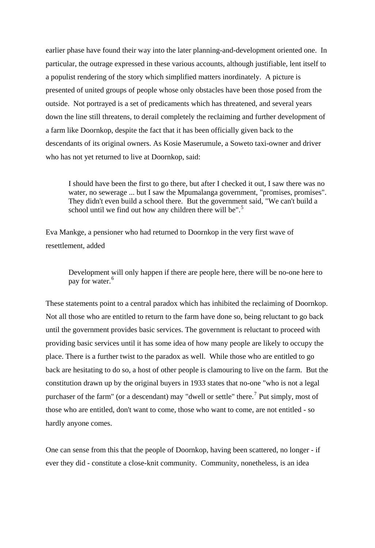earlier phase have found their way into the later planning-and-development oriented one. In particular, the outrage expressed in these various accounts, although justifiable, lent itself to a populist rendering of the story which simplified matters inordinately. A picture is presented of united groups of people whose only obstacles have been those posed from the outside. Not portrayed is a set of predicaments which has threatened, and several years down the line still threatens, to derail completely the reclaiming and further development of a farm like Doornkop, despite the fact that it has been officially given back to the descendants of its original owners. As Kosie Maserumule, a Soweto taxi-owner and driver who has not yet returned to live at Doornkop, said:

 I should have been the first to go there, but after I checked it out, I saw there was no water, no sewerage ... but I saw the Mpumalanga government, "promises, promises". They didn't even build a school there. But the government said, "We can't build a school until we find out how any children there will be". $5$ 

Eva Mankge, a pensioner who had returned to Doornkop in the very first wave of resettlement, added

 Development will only happen if there are people here, there will be no-one here to pay for water.<sup>[6](#page-25-1)</sup>

These statements point to a central paradox which has inhibited the reclaiming of Doornkop. Not all those who are entitled to return to the farm have done so, being reluctant to go back until the government provides basic services. The government is reluctant to proceed with providing basic services until it has some idea of how many people are likely to occupy the place. There is a further twist to the paradox as well. While those who are entitled to go back are hesitating to do so, a host of other people is clamouring to live on the farm. But the constitution drawn up by the original buyers in 1933 states that no-one "who is not a legal purchaser of the farm" (or a descendant) may "dwell or settle" there.<sup>[7](#page-25-1)</sup> Put simply, most of those who are entitled, don't want to come, those who want to come, are not entitled - so hardly anyone comes.

One can sense from this that the people of Doornkop, having been scattered, no longer - if ever they did - constitute a close-knit community. Community, nonetheless, is an idea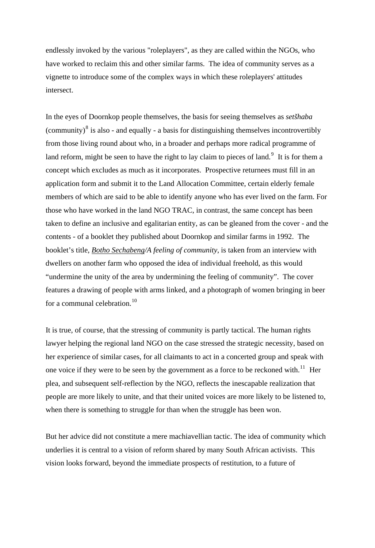endlessly invoked by the various "roleplayers", as they are called within the NGOs, who have worked to reclaim this and other similar farms. The idea of community serves as a vignette to introduce some of the complex ways in which these roleplayers' attitudes intersect.

In the eyes of Doornkop people themselves, the basis for seeing themselves as *setšhaba* (community) $\delta$  is also - and equally - a basis for distinguishing themselves incontrovertibly from those living round about who, in a broader and perhaps more radical programme of land reform, might be seen to have the right to lay claim to pieces of land.<sup>[9](#page-25-1)</sup> It is for them a concept which excludes as much as it incorporates. Prospective returnees must fill in an application form and submit it to the Land Allocation Committee, certain elderly female members of which are said to be able to identify anyone who has ever lived on the farm. For those who have worked in the land NGO TRAC, in contrast, the same concept has been taken to define an inclusive and egalitarian entity, as can be gleaned from the cover - and the contents - of a booklet they published about Doornkop and similar farms in 1992. The booklet's title, *Botho Sechabeng/A feeling of community*, is taken from an interview with dwellers on another farm who opposed the idea of individual freehold, as this would "undermine the unity of the area by undermining the feeling of community". The cover features a drawing of people with arms linked, and a photograph of women bringing in beer for a communal celebration.<sup>[10](#page-25-1)</sup>

It is true, of course, that the stressing of community is partly tactical. The human rights lawyer helping the regional land NGO on the case stressed the strategic necessity, based on her experience of similar cases, for all claimants to act in a concerted group and speak with one voice if they were to be seen by the government as a force to be reckoned with.<sup>[11](#page-25-1)</sup> Her plea, and subsequent self-reflection by the NGO, reflects the inescapable realization that people are more likely to unite, and that their united voices are more likely to be listened to, when there is something to struggle for than when the struggle has been won.

But her advice did not constitute a mere machiavellian tactic. The idea of community which underlies it is central to a vision of reform shared by many South African activists. This vision looks forward, beyond the immediate prospects of restitution, to a future of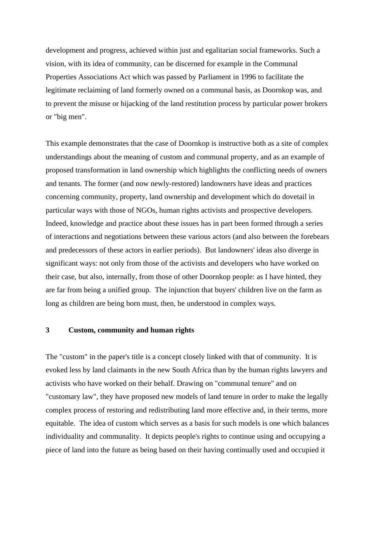development and progress, achieved within just and egalitarian social frameworks. Such a vision, with its idea of community, can be discerned for example in the Communal Properties Associations Act which was passed by Parliament in 1996 to facilitate the legitimate reclaiming of land formerly owned on a communal basis, as Doornkop was, and to prevent the misuse or hijacking of the land restitution process by particular power brokers or "big men".

This example demonstrates that the case of Doornkop is instructive both as a site of complex understandings about the meaning of custom and communal property, and as an example of proposed transformation in land ownership which highlights the conflicting needs of owners and tenants. The former (and now newly-restored) landowners have ideas and practices concerning community, property, land ownership and development which do dovetail in particular ways with those of NGOs, human rights activists and prospective developers. Indeed, knowledge and practice about these issues has in part been formed through a series of interactions and negotiations between these various actors (and also between the forebears and predecessors of these actors in earlier periods). But landowners' ideas also diverge in significant ways: not only from those of the activists and developers who have worked on their case, but also, internally, from those of other Doornkop people: as I have hinted, they are far from being a unified group. The injunction that buyers' children live on the farm as long as children are being born must, then, be understood in complex ways.

## **3 Custom, community and human rights**

The "custom" in the paper's title is a concept closely linked with that of community. It is evoked less by land claimants in the new South Africa than by the human rights lawyers and activists who have worked on their behalf. Drawing on "communal tenure" and on "customary law", they have proposed new models of land tenure in order to make the legally complex process of restoring and redistributing land more effective and, in their terms, more equitable. The idea of custom which serves as a basis for such models is one which balances individuality and communality. It depicts people's rights to continue using and occupying a piece of land into the future as being based on their having continually used and occupied it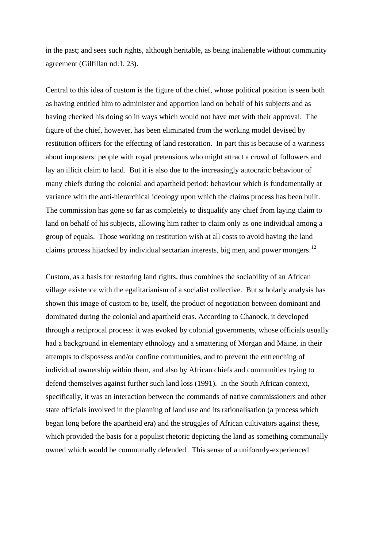in the past; and sees such rights, although heritable, as being inalienable without community agreement (Gilfillan nd:1, 23).

Central to this idea of custom is the figure of the chief, whose political position is seen both as having entitled him to administer and apportion land on behalf of his subjects and as having checked his doing so in ways which would not have met with their approval. The figure of the chief, however, has been eliminated from the working model devised by restitution officers for the effecting of land restoration. In part this is because of a wariness about imposters: people with royal pretensions who might attract a crowd of followers and lay an illicit claim to land. But it is also due to the increasingly autocratic behaviour of many chiefs during the colonial and apartheid period: behaviour which is fundamentally at variance with the anti-hierarchical ideology upon which the claims process has been built. The commission has gone so far as completely to disqualify any chief from laying claim to land on behalf of his subjects, allowing him rather to claim only as one individual among a group of equals. Those working on restitution wish at all costs to avoid having the land claims process hijacked by individual sectarian interests, big men, and power mongers.<sup>[12](#page-25-1)</sup>

Custom, as a basis for restoring land rights, thus combines the sociability of an African village existence with the egalitarianism of a socialist collective. But scholarly analysis has shown this image of custom to be, itself, the product of negotiation between dominant and dominated during the colonial and apartheid eras. According to Chanock, it developed through a reciprocal process: it was evoked by colonial governments, whose officials usually had a background in elementary ethnology and a smattering of Morgan and Maine, in their attempts to dispossess and/or confine communities, and to prevent the entrenching of individual ownership within them, and also by African chiefs and communities trying to defend themselves against further such land loss (1991). In the South African context, specifically, it was an interaction between the commands of native commissioners and other state officials involved in the planning of land use and its rationalisation (a process which began long before the apartheid era) and the struggles of African cultivators against these, which provided the basis for a populist rhetoric depicting the land as something communally owned which would be communally defended. This sense of a uniformly-experienced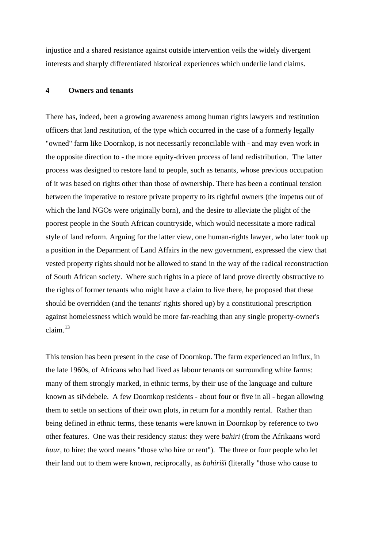injustice and a shared resistance against outside intervention veils the widely divergent interests and sharply differentiated historical experiences which underlie land claims.

#### **4 Owners and tenants**

There has, indeed, been a growing awareness among human rights lawyers and restitution officers that land restitution, of the type which occurred in the case of a formerly legally "owned" farm like Doornkop, is not necessarily reconcilable with - and may even work in the opposite direction to - the more equity-driven process of land redistribution. The latter process was designed to restore land to people, such as tenants, whose previous occupation of it was based on rights other than those of ownership. There has been a continual tension between the imperative to restore private property to its rightful owners (the impetus out of which the land NGOs were originally born), and the desire to alleviate the plight of the poorest people in the South African countryside, which would necessitate a more radical style of land reform. Arguing for the latter view, one human-rights lawyer, who later took up a position in the Deparment of Land Affairs in the new government, expressed the view that vested property rights should not be allowed to stand in the way of the radical reconstruction of South African society. Where such rights in a piece of land prove directly obstructive to the rights of former tenants who might have a claim to live there, he proposed that these should be overridden (and the tenants' rights shored up) by a constitutional prescription against homelessness which would be more far-reaching than any single property-owner's claim.[13](#page-25-1)

This tension has been present in the case of Doornkop. The farm experienced an influx, in the late 1960s, of Africans who had lived as labour tenants on surrounding white farms: many of them strongly marked, in ethnic terms, by their use of the language and culture known as siNdebele. A few Doornkop residents - about four or five in all - began allowing them to settle on sections of their own plots, in return for a monthly rental. Rather than being defined in ethnic terms, these tenants were known in Doornkop by reference to two other features. One was their residency status: they were *bahiri* (from the Afrikaans word *huur*, to hire: the word means "those who hire or rent"). The three or four people who let their land out to them were known, reciprocally, as *bahiriši* (literally "those who cause to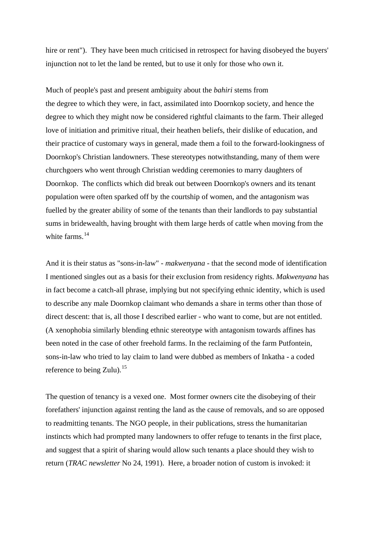hire or rent"). They have been much criticised in retrospect for having disobeyed the buyers' injunction not to let the land be rented, but to use it only for those who own it.

Much of people's past and present ambiguity about the *bahiri* stems from the degree to which they were, in fact, assimilated into Doornkop society, and hence the degree to which they might now be considered rightful claimants to the farm. Their alleged love of initiation and primitive ritual, their heathen beliefs, their dislike of education, and their practice of customary ways in general, made them a foil to the forward-lookingness of Doornkop's Christian landowners. These stereotypes notwithstanding, many of them were churchgoers who went through Christian wedding ceremonies to marry daughters of Doornkop. The conflicts which did break out between Doornkop's owners and its tenant population were often sparked off by the courtship of women, and the antagonism was fuelled by the greater ability of some of the tenants than their landlords to pay substantial sums in bridewealth, having brought with them large herds of cattle when moving from the white farms. $14$ 

And it is their status as "sons-in-law" - *makwenyana* - that the second mode of identification I mentioned singles out as a basis for their exclusion from residency rights. *Makwenyana* has in fact become a catch-all phrase, implying but not specifying ethnic identity, which is used to describe any male Doornkop claimant who demands a share in terms other than those of direct descent: that is, all those I described earlier - who want to come, but are not entitled. (A xenophobia similarly blending ethnic stereotype with antagonism towards affines has been noted in the case of other freehold farms. In the reclaiming of the farm Putfontein, sons-in-law who tried to lay claim to land were dubbed as members of Inkatha - a coded reference to being Zulu).<sup>[15](#page-25-1)</sup>

The question of tenancy is a vexed one. Most former owners cite the disobeying of their forefathers' injunction against renting the land as the cause of removals, and so are opposed to readmitting tenants. The NGO people, in their publications, stress the humanitarian instincts which had prompted many landowners to offer refuge to tenants in the first place, and suggest that a spirit of sharing would allow such tenants a place should they wish to return (*TRAC newsletter* No 24, 1991). Here, a broader notion of custom is invoked: it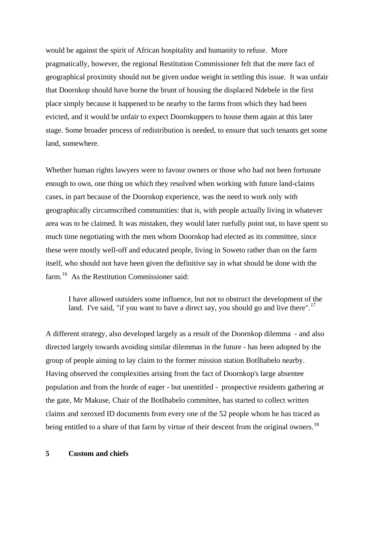would be against the spirit of African hospitality and humanity to refuse. More pragmatically, however, the regional Restitution Commissioner felt that the mere fact of geographical proximity should not be given undue weight in settling this issue. It was unfair that Doornkop should have borne the brunt of housing the displaced Ndebele in the first place simply because it happened to be nearby to the farms from which they had been evicted, and it would be unfair to expect Doornkoppers to house them again at this later stage. Some broader process of redistribution is needed, to ensure that such tenants get some land, somewhere.

Whether human rights lawyers were to favour owners or those who had not been fortunate enough to own, one thing on which they resolved when working with future land-claims cases, in part because of the Doornkop experience, was the need to work only with geographically circumscribed communities: that is, with people actually living in whatever area was to be claimed. It was mistaken, they would later ruefully point out, to have spent so much time negotiating with the men whom Doornkop had elected as its committee, since these were mostly well-off and educated people, living in Soweto rather than on the farm itself, who should not have been given the definitive say in what should be done with the farm.[16](#page-25-1) As the Restitution Commissioner said:

 I have allowed outsiders some influence, but not to obstruct the development of the land. I've said, "if you want to have a direct say, you should go and live there".<sup>[17](#page-25-1)</sup>

A different strategy, also developed largely as a result of the Doornkop dilemma - and also directed largely towards avoiding similar dilemmas in the future - has been adopted by the group of people aiming to lay claim to the former mission station Botšhabelo nearby. Having observed the complexities arising from the fact of Doornkop's large absentee population and from the horde of eager - but unentitled - prospective residents gathering at the gate, Mr Makuse, Chair of the Botšhabelo committee, has started to collect written claims and xeroxed ID documents from every one of the 52 people whom he has traced as being entitled to a share of that farm by virtue of their descent from the original owners.<sup>[18](#page-25-1)</sup>

#### **5 Custom and chiefs**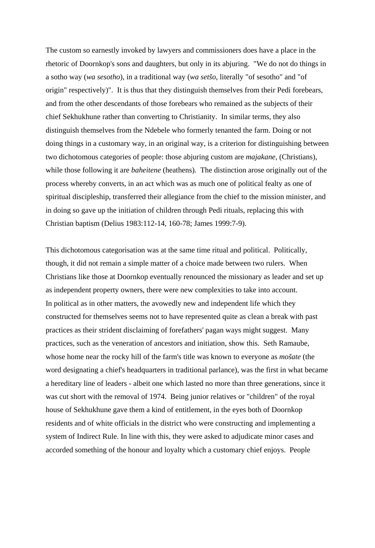The custom so earnestly invoked by lawyers and commissioners does have a place in the rhetoric of Doornkop's sons and daughters, but only in its abjuring. "We do not do things in a sotho way (*wa sesotho*), in a traditional way (*wa setšo*, literally "of sesotho" and "of origin" respectively)". It is thus that they distinguish themselves from their Pedi forebears, and from the other descendants of those forebears who remained as the subjects of their chief Sekhukhune rather than converting to Christianity. In similar terms, they also distinguish themselves from the Ndebele who formerly tenanted the farm. Doing or not doing things in a customary way, in an original way, is a criterion for distinguishing between two dichotomous categories of people: those abjuring custom are *majakane*, (Christians), while those following it are *baheitene* (heathens). The distinction arose originally out of the process whereby converts, in an act which was as much one of political fealty as one of spiritual discipleship, transferred their allegiance from the chief to the mission minister, and in doing so gave up the initiation of children through Pedi rituals, replacing this with Christian baptism (Delius 1983:112-14, 160-78; James 1999:7-9).

This dichotomous categorisation was at the same time ritual and political. Politically, though, it did not remain a simple matter of a choice made between two rulers. When Christians like those at Doornkop eventually renounced the missionary as leader and set up as independent property owners, there were new complexities to take into account. In political as in other matters, the avowedly new and independent life which they constructed for themselves seems not to have represented quite as clean a break with past practices as their strident disclaiming of forefathers' pagan ways might suggest. Many practices, such as the veneration of ancestors and initiation, show this. Seth Ramaube, whose home near the rocky hill of the farm's title was known to everyone as *mošate* (the word designating a chief's headquarters in traditional parlance), was the first in what became a hereditary line of leaders - albeit one which lasted no more than three generations, since it was cut short with the removal of 1974. Being junior relatives or "children" of the royal house of Sekhukhune gave them a kind of entitlement, in the eyes both of Doornkop residents and of white officials in the district who were constructing and implementing a system of Indirect Rule. In line with this, they were asked to adjudicate minor cases and accorded something of the honour and loyalty which a customary chief enjoys. People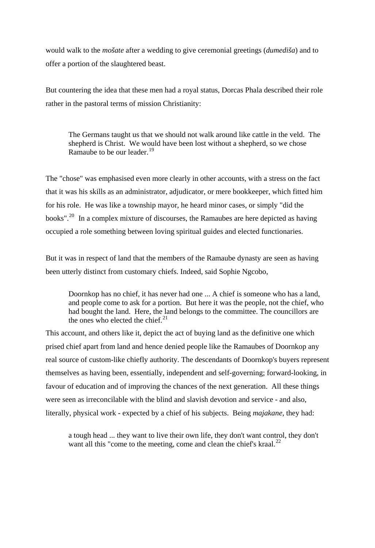would walk to the *mošate* after a wedding to give ceremonial greetings (*dumediša*) and to offer a portion of the slaughtered beast.

But countering the idea that these men had a royal status, Dorcas Phala described their role rather in the pastoral terms of mission Christianity:

 The Germans taught us that we should not walk around like cattle in the veld. The shepherd is Christ. We would have been lost without a shepherd, so we chose Ramaube to be our leader.<sup>[19](#page-25-1)</sup>

The "chose" was emphasised even more clearly in other accounts, with a stress on the fact that it was his skills as an administrator, adjudicator, or mere bookkeeper, which fitted him for his role. He was like a township mayor, he heard minor cases, or simply "did the books".<sup>[20](#page-25-1)</sup> In a complex mixture of discourses, the Ramaubes are here depicted as having occupied a role something between loving spiritual guides and elected functionaries.

But it was in respect of land that the members of the Ramaube dynasty are seen as having been utterly distinct from customary chiefs. Indeed, said Sophie Ngcobo,

 Doornkop has no chief, it has never had one ... A chief is someone who has a land, and people come to ask for a portion. But here it was the people, not the chief, who had bought the land. Here, the land belongs to the committee. The councillors are the ones who elected the chief. $^{21}$  $^{21}$  $^{21}$ 

This account, and others like it, depict the act of buying land as the definitive one which prised chief apart from land and hence denied people like the Ramaubes of Doornkop any real source of custom-like chiefly authority. The descendants of Doornkop's buyers represent themselves as having been, essentially, independent and self-governing; forward-looking, in favour of education and of improving the chances of the next generation. All these things were seen as irreconcilable with the blind and slavish devotion and service - and also, literally, physical work - expected by a chief of his subjects. Being *majakane*, they had:

 a tough head ... they want to live their own life, they don't want control, they don't want all this "come to the meeting, come and clean the chief's kraal. $^{22}$  $^{22}$  $^{22}$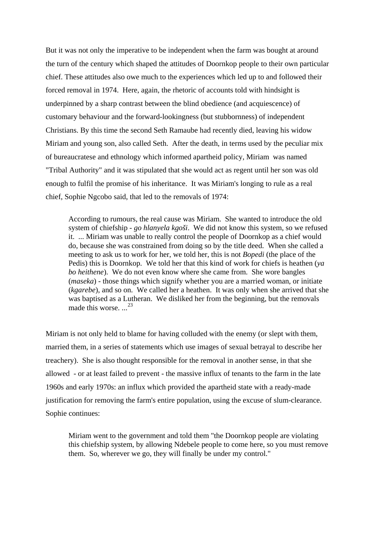But it was not only the imperative to be independent when the farm was bought at around the turn of the century which shaped the attitudes of Doornkop people to their own particular chief. These attitudes also owe much to the experiences which led up to and followed their forced removal in 1974. Here, again, the rhetoric of accounts told with hindsight is underpinned by a sharp contrast between the blind obedience (and acquiescence) of customary behaviour and the forward-lookingness (but stubbornness) of independent Christians. By this time the second Seth Ramaube had recently died, leaving his widow Miriam and young son, also called Seth. After the death, in terms used by the peculiar mix of bureaucratese and ethnology which informed apartheid policy, Miriam was named "Tribal Authority" and it was stipulated that she would act as regent until her son was old enough to fulfil the promise of his inheritance. It was Miriam's longing to rule as a real chief, Sophie Ngcobo said, that led to the removals of 1974:

 According to rumours, the real cause was Miriam. She wanted to introduce the old system of chiefship - *go hlanyela kgoši*. We did not know this system, so we refused it. ... Miriam was unable to really control the people of Doornkop as a chief would do, because she was constrained from doing so by the title deed. When she called a meeting to ask us to work for her, we told her, this is not *Bopedi* (the place of the Pedis) this is Doornkop. We told her that this kind of work for chiefs is heathen (*ya bo heithene*). We do not even know where she came from. She wore bangles (*maseka*) - those things which signify whether you are a married woman, or initiate (*kgarebe*), and so on. We called her a heathen. It was only when she arrived that she was baptised as a Lutheran. We disliked her from the beginning, but the removals made this worse.  $\ldots^{23}$  $\ldots^{23}$  $\ldots^{23}$ 

Miriam is not only held to blame for having colluded with the enemy (or slept with them, married them, in a series of statements which use images of sexual betrayal to describe her treachery). She is also thought responsible for the removal in another sense, in that she allowed - or at least failed to prevent - the massive influx of tenants to the farm in the late 1960s and early 1970s: an influx which provided the apartheid state with a ready-made justification for removing the farm's entire population, using the excuse of slum-clearance. Sophie continues:

 Miriam went to the government and told them "the Doornkop people are violating this chiefship system, by allowing Ndebele people to come here, so you must remove them. So, wherever we go, they will finally be under my control."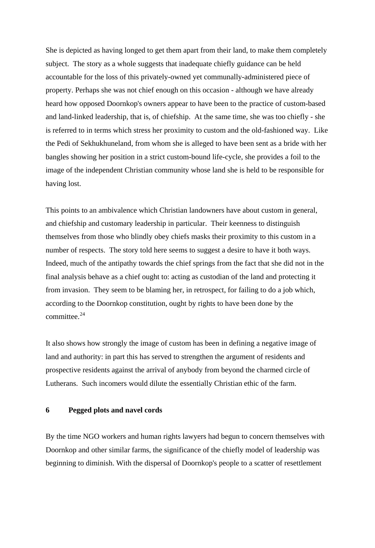She is depicted as having longed to get them apart from their land, to make them completely subject. The story as a whole suggests that inadequate chiefly guidance can be held accountable for the loss of this privately-owned yet communally-administered piece of property. Perhaps she was not chief enough on this occasion - although we have already heard how opposed Doornkop's owners appear to have been to the practice of custom-based and land-linked leadership, that is, of chiefship. At the same time, she was too chiefly - she is referred to in terms which stress her proximity to custom and the old-fashioned way. Like the Pedi of Sekhukhuneland, from whom she is alleged to have been sent as a bride with her bangles showing her position in a strict custom-bound life-cycle, she provides a foil to the image of the independent Christian community whose land she is held to be responsible for having lost.

This points to an ambivalence which Christian landowners have about custom in general, and chiefship and customary leadership in particular. Their keenness to distinguish themselves from those who blindly obey chiefs masks their proximity to this custom in a number of respects. The story told here seems to suggest a desire to have it both ways. Indeed, much of the antipathy towards the chief springs from the fact that she did not in the final analysis behave as a chief ought to: acting as custodian of the land and protecting it from invasion. They seem to be blaming her, in retrospect, for failing to do a job which, according to the Doornkop constitution, ought by rights to have been done by the committee.<sup>[24](#page-25-1)</sup>

It also shows how strongly the image of custom has been in defining a negative image of land and authority: in part this has served to strengthen the argument of residents and prospective residents against the arrival of anybody from beyond the charmed circle of Lutherans. Such incomers would dilute the essentially Christian ethic of the farm.

#### **6 Pegged plots and navel cords**

By the time NGO workers and human rights lawyers had begun to concern themselves with Doornkop and other similar farms, the significance of the chiefly model of leadership was beginning to diminish. With the dispersal of Doornkop's people to a scatter of resettlement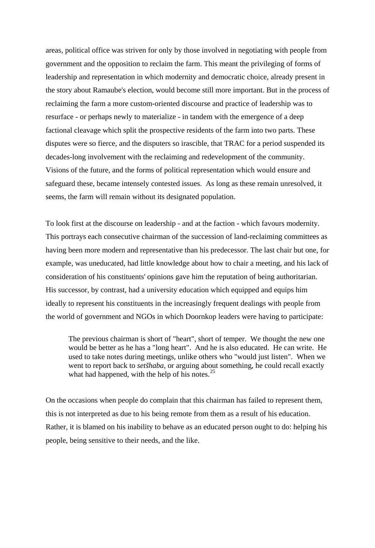areas, political office was striven for only by those involved in negotiating with people from government and the opposition to reclaim the farm. This meant the privileging of forms of leadership and representation in which modernity and democratic choice, already present in the story about Ramaube's election, would become still more important. But in the process of reclaiming the farm a more custom-oriented discourse and practice of leadership was to resurface - or perhaps newly to materialize - in tandem with the emergence of a deep factional cleavage which split the prospective residents of the farm into two parts. These disputes were so fierce, and the disputers so irascible, that TRAC for a period suspended its decades-long involvement with the reclaiming and redevelopment of the community. Visions of the future, and the forms of political representation which would ensure and safeguard these, became intensely contested issues. As long as these remain unresolved, it seems, the farm will remain without its designated population.

To look first at the discourse on leadership - and at the faction - which favours modernity. This portrays each consecutive chairman of the succession of land-reclaiming committees as having been more modern and representative than his predecessor. The last chair but one, for example, was uneducated, had little knowledge about how to chair a meeting, and his lack of consideration of his constituents' opinions gave him the reputation of being authoritarian. His successor, by contrast, had a university education which equipped and equips him ideally to represent his constituents in the increasingly frequent dealings with people from the world of government and NGOs in which Doornkop leaders were having to participate:

 The previous chairman is short of "heart", short of temper. We thought the new one would be better as he has a "long heart". And he is also educated. He can write. He used to take notes during meetings, unlike others who "would just listen". When we went to report back to *setšhaba*, or arguing about something, he could recall exactly what had happened, with the help of his notes.<sup>[25](#page-25-1)</sup>

On the occasions when people do complain that this chairman has failed to represent them, this is not interpreted as due to his being remote from them as a result of his education. Rather, it is blamed on his inability to behave as an educated person ought to do: helping his people, being sensitive to their needs, and the like.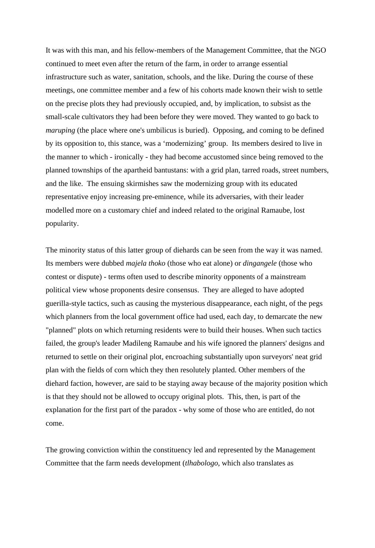It was with this man, and his fellow-members of the Management Committee, that the NGO continued to meet even after the return of the farm, in order to arrange essential infrastructure such as water, sanitation, schools, and the like. During the course of these meetings, one committee member and a few of his cohorts made known their wish to settle on the precise plots they had previously occupied, and, by implication, to subsist as the small-scale cultivators they had been before they were moved. They wanted to go back to *maruping* (the place where one's umbilicus is buried). Opposing, and coming to be defined by its opposition to, this stance, was a 'modernizing' group. Its members desired to live in the manner to which - ironically - they had become accustomed since being removed to the planned townships of the apartheid bantustans: with a grid plan, tarred roads, street numbers, and the like. The ensuing skirmishes saw the modernizing group with its educated representative enjoy increasing pre-eminence, while its adversaries, with their leader modelled more on a customary chief and indeed related to the original Ramaube, lost popularity.

The minority status of this latter group of diehards can be seen from the way it was named. Its members were dubbed *majela thoko* (those who eat alone) or *dingangele* (those who contest or dispute) - terms often used to describe minority opponents of a mainstream political view whose proponents desire consensus. They are alleged to have adopted guerilla-style tactics, such as causing the mysterious disappearance, each night, of the pegs which planners from the local government office had used, each day, to demarcate the new "planned" plots on which returning residents were to build their houses. When such tactics failed, the group's leader Madileng Ramaube and his wife ignored the planners' designs and returned to settle on their original plot, encroaching substantially upon surveyors' neat grid plan with the fields of corn which they then resolutely planted. Other members of the diehard faction, however, are said to be staying away because of the majority position which is that they should not be allowed to occupy original plots. This, then, is part of the explanation for the first part of the paradox - why some of those who are entitled, do not come.

The growing conviction within the constituency led and represented by the Management Committee that the farm needs development (*tlhabologo*, which also translates as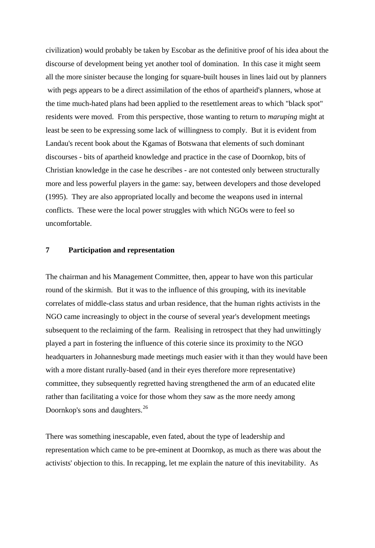civilization) would probably be taken by Escobar as the definitive proof of his idea about the discourse of development being yet another tool of domination. In this case it might seem all the more sinister because the longing for square-built houses in lines laid out by planners with pegs appears to be a direct assimilation of the ethos of apartheid's planners, whose at the time much-hated plans had been applied to the resettlement areas to which "black spot" residents were moved. From this perspective, those wanting to return to *maruping* might at least be seen to be expressing some lack of willingness to comply. But it is evident from Landau's recent book about the Kgamas of Botswana that elements of such dominant discourses - bits of apartheid knowledge and practice in the case of Doornkop, bits of Christian knowledge in the case he describes - are not contested only between structurally more and less powerful players in the game: say, between developers and those developed (1995). They are also appropriated locally and become the weapons used in internal conflicts. These were the local power struggles with which NGOs were to feel so uncomfortable.

#### **7 Participation and representation**

The chairman and his Management Committee, then, appear to have won this particular round of the skirmish. But it was to the influence of this grouping, with its inevitable correlates of middle-class status and urban residence, that the human rights activists in the NGO came increasingly to object in the course of several year's development meetings subsequent to the reclaiming of the farm. Realising in retrospect that they had unwittingly played a part in fostering the influence of this coterie since its proximity to the NGO headquarters in Johannesburg made meetings much easier with it than they would have been with a more distant rurally-based (and in their eyes therefore more representative) committee, they subsequently regretted having strengthened the arm of an educated elite rather than facilitating a voice for those whom they saw as the more needy among Doornkop's sons and daughters.<sup>[26](#page-25-1)</sup>

There was something inescapable, even fated, about the type of leadership and representation which came to be pre-eminent at Doornkop, as much as there was about the activists' objection to this. In recapping, let me explain the nature of this inevitability. As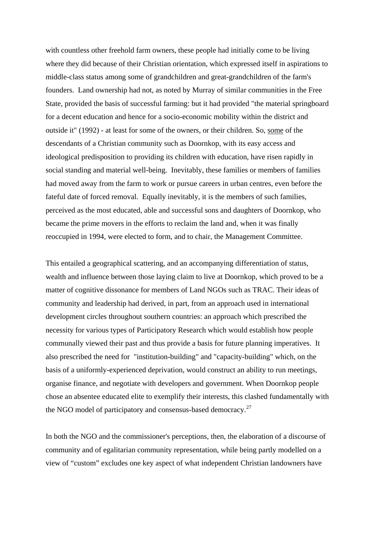with countless other freehold farm owners, these people had initially come to be living where they did because of their Christian orientation, which expressed itself in aspirations to middle-class status among some of grandchildren and great-grandchildren of the farm's founders. Land ownership had not, as noted by Murray of similar communities in the Free State, provided the basis of successful farming: but it had provided "the material springboard for a decent education and hence for a socio-economic mobility within the district and outside it" (1992) - at least for some of the owners, or their children. So, some of the descendants of a Christian community such as Doornkop, with its easy access and ideological predisposition to providing its children with education, have risen rapidly in social standing and material well-being. Inevitably, these families or members of families had moved away from the farm to work or pursue careers in urban centres, even before the fateful date of forced removal. Equally inevitably, it is the members of such families, perceived as the most educated, able and successful sons and daughters of Doornkop, who became the prime movers in the efforts to reclaim the land and, when it was finally reoccupied in 1994, were elected to form, and to chair, the Management Committee.

This entailed a geographical scattering, and an accompanying differentiation of status, wealth and influence between those laying claim to live at Doornkop, which proved to be a matter of cognitive dissonance for members of Land NGOs such as TRAC. Their ideas of community and leadership had derived, in part, from an approach used in international development circles throughout southern countries: an approach which prescribed the necessity for various types of Participatory Research which would establish how people communally viewed their past and thus provide a basis for future planning imperatives. It also prescribed the need for "institution-building" and "capacity-building" which, on the basis of a uniformly-experienced deprivation, would construct an ability to run meetings, organise finance, and negotiate with developers and government. When Doornkop people chose an absentee educated elite to exemplify their interests, this clashed fundamentally with the NGO model of participatory and consensus-based democracy.<sup>[27](#page-25-1)</sup>

In both the NGO and the commissioner's perceptions, then, the elaboration of a discourse of community and of egalitarian community representation, while being partly modelled on a view of "custom" excludes one key aspect of what independent Christian landowners have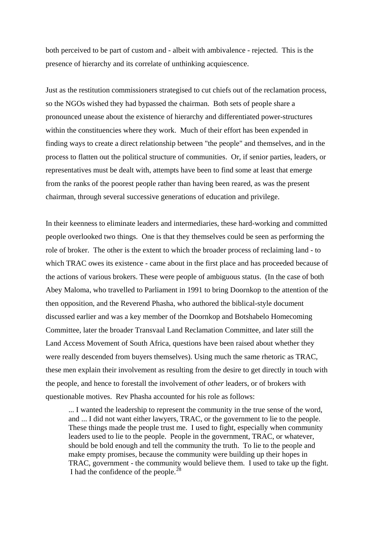both perceived to be part of custom and - albeit with ambivalence - rejected. This is the presence of hierarchy and its correlate of unthinking acquiescence.

Just as the restitution commissioners strategised to cut chiefs out of the reclamation process, so the NGOs wished they had bypassed the chairman. Both sets of people share a pronounced unease about the existence of hierarchy and differentiated power-structures within the constituencies where they work. Much of their effort has been expended in finding ways to create a direct relationship between "the people" and themselves, and in the process to flatten out the political structure of communities. Or, if senior parties, leaders, or representatives must be dealt with, attempts have been to find some at least that emerge from the ranks of the poorest people rather than having been reared, as was the present chairman, through several successive generations of education and privilege.

In their keenness to eliminate leaders and intermediaries, these hard-working and committed people overlooked two things. One is that they themselves could be seen as performing the role of broker. The other is the extent to which the broader process of reclaiming land - to which TRAC owes its existence - came about in the first place and has proceeded because of the actions of various brokers. These were people of ambiguous status. (In the case of both Abey Maloma, who travelled to Parliament in 1991 to bring Doornkop to the attention of the then opposition, and the Reverend Phasha, who authored the biblical-style document discussed earlier and was a key member of the Doornkop and Botshabelo Homecoming Committee, later the broader Transvaal Land Reclamation Committee, and later still the Land Access Movement of South Africa, questions have been raised about whether they were really descended from buyers themselves). Using much the same rhetoric as TRAC, these men explain their involvement as resulting from the desire to get directly in touch with the people, and hence to forestall the involvement of *other* leaders, or of brokers with questionable motives. Rev Phasha accounted for his role as follows:

 ... I wanted the leadership to represent the community in the true sense of the word, and ... I did not want either lawyers, TRAC, or the government to lie to the people. These things made the people trust me. I used to fight, especially when community leaders used to lie to the people. People in the government, TRAC, or whatever, should be bold enough and tell the community the truth. To lie to the people and make empty promises, because the community were building up their hopes in TRAC, government - the community would believe them. I used to take up the fight. I had the confidence of the people. $^{28}$  $^{28}$  $^{28}$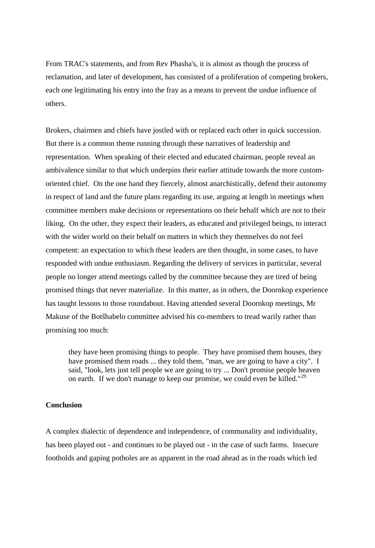From TRAC's statements, and from Rev Phasha's, it is almost as though the process of reclamation, and later of development, has consisted of a proliferation of competing brokers, each one legitimating his entry into the fray as a means to prevent the undue influence of others.

Brokers, chairmen and chiefs have jostled with or replaced each other in quick succession. But there is a common theme running through these narratives of leadership and representation. When speaking of their elected and educated chairman, people reveal an ambivalence similar to that which underpins their earlier attitude towards the more customoriented chief. On the one hand they fiercely, almost anarchistically, defend their autonomy in respect of land and the future plans regarding its use, arguing at length in meetings when committee members make decisions or representations on their behalf which are not to their liking. On the other, they expect their leaders, as educated and privileged beings, to interact with the wider world on their behalf on matters in which they themselves do not feel competent: an expectation to which these leaders are then thought, in some cases, to have responded with undue enthusiasm. Regarding the delivery of services in particular, several people no longer attend meetings called by the committee because they are tired of being promised things that never materialize. In this matter, as in others, the Doornkop experience has taught lessons to those roundabout. Having attended several Doornkop meetings, Mr Makuse of the Botšhabelo committee advised his co-members to tread warily rather than promising too much:

 they have been promising things to people. They have promised them houses, they have promised them roads ... they told them, "man, we are going to have a city". I said, "look, lets just tell people we are going to try ... Don't promise people heaven on earth. If we don't manage to keep our promise, we could even be killed."<sup>[29](#page-25-1)</sup>

## **Conclusion**

A complex dialectic of dependence and independence, of communality and individuality, has been played out - and continues to be played out - in the case of such farms. Insecure footholds and gaping potholes are as apparent in the road ahead as in the roads which led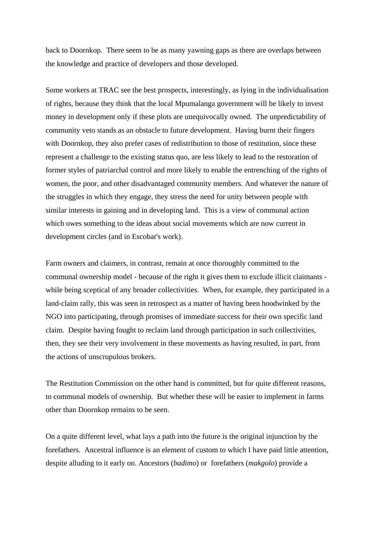back to Doornkop. There seem to be as many yawning gaps as there are overlaps between the knowledge and practice of developers and those developed.

Some workers at TRAC see the best prospects, interestingly, as lying in the individualisation of rights, because they think that the local Mpumalanga government will be likely to invest money in development only if these plots are unequivocally owned. The unpredictability of community veto stands as an obstacle to future development. Having burnt their fingers with Doornkop, they also prefer cases of redistribution to those of restitution, since these represent a challenge to the existing status quo, are less likely to lead to the restoration of former styles of patriarchal control and more likely to enable the entrenching of the rights of women, the poor, and other disadvantaged community members. And whatever the nature of the struggles in which they engage, they stress the need for unity between people with similar interests in gaining and in developing land. This is a view of communal action which owes something to the ideas about social movements which are now current in development circles (and in Escobar's work).

Farm owners and claimers, in contrast, remain at once thoroughly committed to the communal ownership model - because of the right it gives them to exclude illicit claimants while being sceptical of any broader collectivities. When, for example, they participated in a land-claim rally, this was seen in retrospect as a matter of having been hoodwinked by the NGO into participating, through promises of immediate success for their own specific land claim. Despite having fought to reclaim land through participation in such collectivities, then, they see their very involvement in these movements as having resulted, in part, from the actions of unscrupulous brokers.

The Restitution Commission on the other hand is committed, but for quite different reasons, to communal models of ownership. But whether these will be easier to implement in farms other than Doornkop remains to be seen.

On a quite different level, what lays a path into the future is the original injunction by the forefathers. Ancestral influence is an element of custom to which I have paid little attention, despite alluding to it early on. Ancestors (*badimo*) or forefathers (*makgolo*) provide a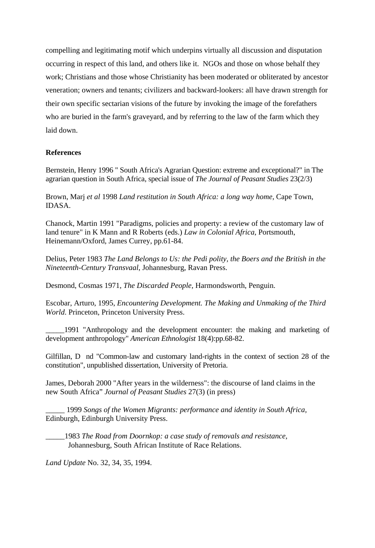compelling and legitimating motif which underpins virtually all discussion and disputation occurring in respect of this land, and others like it. NGOs and those on whose behalf they work; Christians and those whose Christianity has been moderated or obliterated by ancestor veneration; owners and tenants; civilizers and backward-lookers: all have drawn strength for their own specific sectarian visions of the future by invoking the image of the forefathers who are buried in the farm's graveyard, and by referring to the law of the farm which they laid down.

## **References**

Bernstein, Henry 1996 " South Africa's Agrarian Question: extreme and exceptional?" in The agrarian question in South Africa, special issue of *The Journal of Peasant Studies* 23(2/3)

Brown, Marj *et al* 1998 *Land restitution in South Africa: a long way home,* Cape Town, IDASA.

Chanock, Martin 1991 "Paradigms, policies and property: a review of the customary law of land tenure" in K Mann and R Roberts (eds.) *Law in Colonial Africa*, Portsmouth, Heinemann/Oxford, James Currey, pp.61-84.

Delius, Peter 1983 *The Land Belongs to Us: the Pedi polity, the Boers and the British in the Nineteenth-Century Transvaal*, Johannesburg, Ravan Press.

Desmond, Cosmas 1971, *The Discarded People,* Harmondsworth, Penguin.

Escobar, Arturo, 1995, *Encountering Development. The Making and Unmaking of the Third World*. Princeton, Princeton University Press.

\_\_\_\_\_1991 "Anthropology and the development encounter: the making and marketing of development anthropology" *American Ethnologist* 18(4):pp.68-82.

Gilfillan, D nd "Common-law and customary land-rights in the context of section 28 of the constitution", unpublished dissertation, University of Pretoria.

James, Deborah 2000 "After years in the wilderness": the discourse of land claims in the new South Africa" *Journal of Peasant Studies* 27(3) (in press)

\_\_\_\_\_ 1999 *Songs of the Women Migrants: performance and identity in South Africa,*  Edinburgh, Edinburgh University Press.

\_\_\_\_\_1983 *The Road from Doornkop: a case study of removals and resistance,*  Johannesburg, South African Institute of Race Relations.

*Land Update* No. 32, 34, 35, 1994.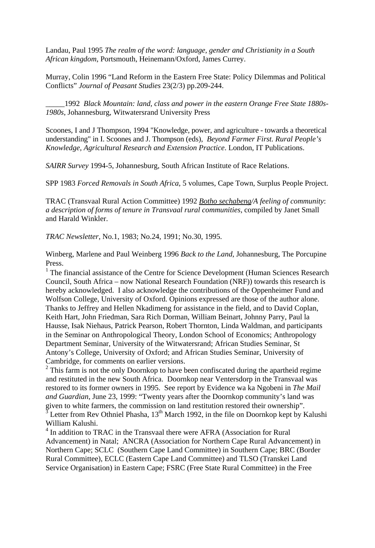Landau, Paul 1995 *The realm of the word: language, gender and Christianity in a South African kingdom*, Portsmouth, Heinemann/Oxford, James Currey.

Murray, Colin 1996 "Land Reform in the Eastern Free State: Policy Dilemmas and Political Conflicts" *Journal of Peasant Studies* 23(2/3) pp.209-244.

\_\_\_\_\_1992 *Black Mountain: land, class and power in the eastern Orange Free State 1880s-1980s*, Johannesburg, Witwatersrand University Press

Scoones, I and J Thompson, 1994 "Knowledge, power, and agriculture - towards a theoretical understanding" in I. Scoones and J. Thompson (eds), *Beyond Farmer First. Rural People's Knowledge, Agricultural Research and Extension Practice*. London, IT Publications.

*SAIRR Survey* 1994-5, Johannesburg, South African Institute of Race Relations.

SPP 1983 *Forced Removals in South Africa,* 5 volumes, Cape Town, Surplus People Project.

TRAC (Transvaal Rural Action Committee) 1992 *Botho sechabeng/A feeling of community*: *a description of forms of tenure in Transvaal rural communities*, compiled by Janet Small and Harald Winkler.

*TRAC Newsletter*, No.1, 1983; No.24, 1991; No.30, 1995.

Winberg, Marlene and Paul Weinberg 1996 *Back to the Land*, Johannesburg, The Porcupine Press.

<sup>1</sup> The financial assistance of the Centre for Science Development (Human Sciences Research Council, South Africa – now National Research Foundation (NRF)) towards this research is hereby acknowledged. I also acknowledge the contributions of the Oppenheimer Fund and Wolfson College, University of Oxford. Opinions expressed are those of the author alone. Thanks to Jeffrey and Hellen Nkadimeng for assistance in the field, and to David Coplan, Keith Hart, John Friedman, Sara Rich Dorman, William Beinart, Johnny Parry, Paul la Hausse, Isak Niehaus, Patrick Pearson, Robert Thornton, Linda Waldman, and participants in the Seminar on Anthropological Theory, London School of Economics; Anthropology Department Seminar, University of the Witwatersrand; African Studies Seminar, St Antony's College, University of Oxford; and African Studies Seminar, University of Cambridge, for comments on earlier versions.

 $2$  This farm is not the only Doornkop to have been confiscated during the apartheid regime and restituted in the new South Africa. Doornkop near Ventersdorp in the Transvaal was restored to its former owners in 1995. See report by Evidence wa ka Ngobeni in *The Mail and Guardian*, June 23, 1999: "Twenty years after the Doornkop community's land was given to white farmers, the commission on land restitution restored their ownership". 3 Letter from Rev Othniel Phasha,  $13<sup>th</sup>$  March 1992, in the file on Doornkop kept by Kalushi William Kalushi.

<sup>4</sup> In addition to TRAC in the Transvaal there were AFRA (Association for Rural Advancement) in Natal; ANCRA (Association for Northern Cape Rural Advancement) in Northern Cape; SCLC (Southern Cape Land Committee) in Southern Cape; BRC (Border Rural Committee), ECLC (Eastern Cape Land Committee) and TLSO (Transkei Land Service Organisation) in Eastern Cape; FSRC (Free State Rural Committee) in the Free